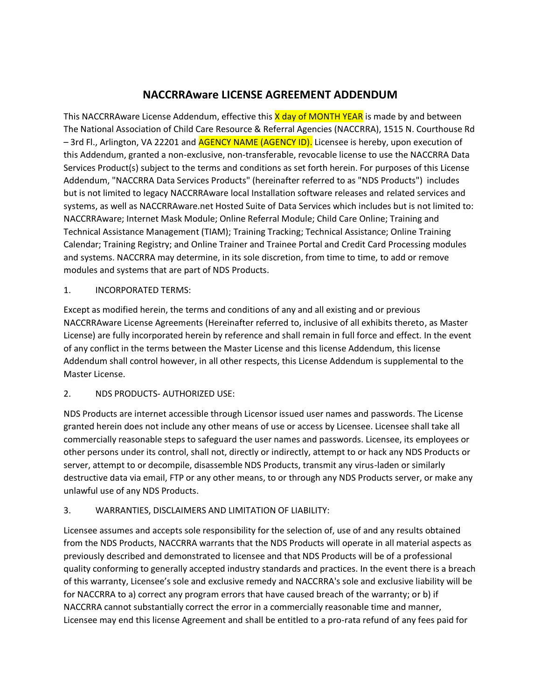# **NACCRRAware LICENSE AGREEMENT ADDENDUM**

This NACCRRAware License Addendum, effective this X day of MONTH YEAR is made by and between The National Association of Child Care Resource & Referral Agencies (NACCRRA), 1515 N. Courthouse Rd – 3rd Fl., Arlington, VA 22201 and AGENCY NAME (AGENCY ID). Licensee is hereby, upon execution of this Addendum, granted a non-exclusive, non-transferable, revocable license to use the NACCRRA Data Services Product(s) subject to the terms and conditions as set forth herein. For purposes of this License Addendum, "NACCRRA Data Services Products" (hereinafter referred to as "NDS Products") includes but is not limited to legacy NACCRRAware local Installation software releases and related services and systems, as well as NACCRRAware.net Hosted Suite of Data Services which includes but is not limited to: NACCRRAware; Internet Mask Module; Online Referral Module; Child Care Online; Training and Technical Assistance Management (TIAM); Training Tracking; Technical Assistance; Online Training Calendar; Training Registry; and Online Trainer and Trainee Portal and Credit Card Processing modules and systems. NACCRRA may determine, in its sole discretion, from time to time, to add or remove modules and systems that are part of NDS Products.

#### 1. INCORPORATED TERMS:

Except as modified herein, the terms and conditions of any and all existing and or previous NACCRRAware License Agreements (Hereinafter referred to, inclusive of all exhibits thereto, as Master License) are fully incorporated herein by reference and shall remain in full force and effect. In the event of any conflict in the terms between the Master License and this license Addendum, this license Addendum shall control however, in all other respects, this License Addendum is supplemental to the Master License.

# 2. NDS PRODUCTS- AUTHORIZED USE:

NDS Products are internet accessible through Licensor issued user names and passwords. The License granted herein does not include any other means of use or access by Licensee. Licensee shall take all commercially reasonable steps to safeguard the user names and passwords. Licensee, its employees or other persons under its control, shall not, directly or indirectly, attempt to or hack any NDS Products or server, attempt to or decompile, disassemble NDS Products, transmit any virus-laden or similarly destructive data via email, FTP or any other means, to or through any NDS Products server, or make any unlawful use of any NDS Products.

# 3. WARRANTIES, DISCLAIMERS AND LIMITATION OF LIABILITY:

Licensee assumes and accepts sole responsibility for the selection of, use of and any results obtained from the NDS Products, NACCRRA warrants that the NDS Products will operate in all material aspects as previously described and demonstrated to licensee and that NDS Products will be of a professional quality conforming to generally accepted industry standards and practices. In the event there is a breach of this warranty, Licensee's sole and exclusive remedy and NACCRRA's sole and exclusive liability will be for NACCRRA to a) correct any program errors that have caused breach of the warranty; or b) if NACCRRA cannot substantially correct the error in a commercially reasonable time and manner, Licensee may end this license Agreement and shall be entitled to a pro-rata refund of any fees paid for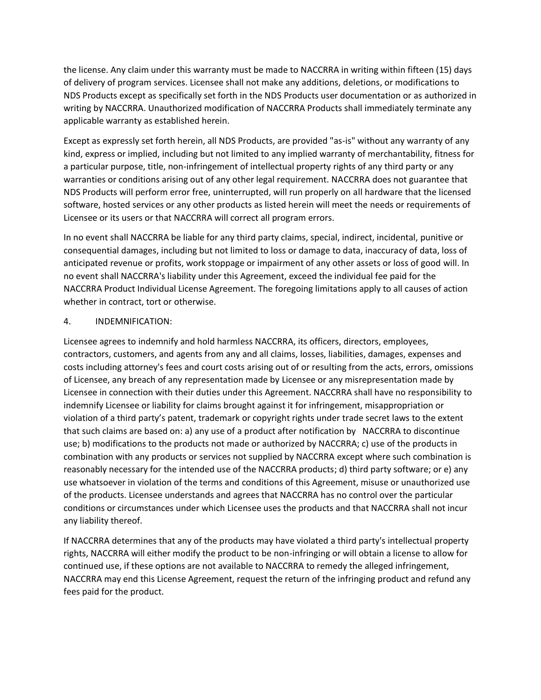the license. Any claim under this warranty must be made to NACCRRA in writing within fifteen (15) days of delivery of program services. Licensee shall not make any additions, deletions, or modifications to NDS Products except as specifically set forth in the NDS Products user documentation or as authorized in writing by NACCRRA. Unauthorized modification of NACCRRA Products shall immediately terminate any applicable warranty as established herein.

Except as expressly set forth herein, all NDS Products, are provided "as-is" without any warranty of any kind, express or implied, including but not limited to any implied warranty of merchantability, fitness for a particular purpose, title, non-infringement of intellectual property rights of any third party or any warranties or conditions arising out of any other legal requirement. NACCRRA does not guarantee that NDS Products will perform error free, uninterrupted, will run properly on all hardware that the licensed software, hosted services or any other products as listed herein will meet the needs or requirements of Licensee or its users or that NACCRRA will correct all program errors.

In no event shall NACCRRA be liable for any third party claims, special, indirect, incidental, punitive or consequential damages, including but not limited to loss or damage to data, inaccuracy of data, loss of anticipated revenue or profits, work stoppage or impairment of any other assets or loss of good will. In no event shall NACCRRA's liability under this Agreement, exceed the individual fee paid for the NACCRRA Product Individual License Agreement. The foregoing limitations apply to all causes of action whether in contract, tort or otherwise.

#### 4. INDEMNIFICATION:

Licensee agrees to indemnify and hold harmless NACCRRA, its officers, directors, employees, contractors, customers, and agents from any and all claims, losses, liabilities, damages, expenses and costs including attorney's fees and court costs arising out of or resulting from the acts, errors, omissions of Licensee, any breach of any representation made by Licensee or any misrepresentation made by Licensee in connection with their duties under this Agreement. NACCRRA shall have no responsibility to indemnify Licensee or liability for claims brought against it for infringement, misappropriation or violation of a third party's patent, trademark or copyright rights under trade secret laws to the extent that such claims are based on: a) any use of a product after notification by NACCRRA to discontinue use; b) modifications to the products not made or authorized by NACCRRA; c) use of the products in combination with any products or services not supplied by NACCRRA except where such combination is reasonably necessary for the intended use of the NACCRRA products; d) third party software; or e) any use whatsoever in violation of the terms and conditions of this Agreement, misuse or unauthorized use of the products. Licensee understands and agrees that NACCRRA has no control over the particular conditions or circumstances under which Licensee uses the products and that NACCRRA shall not incur any liability thereof.

If NACCRRA determines that any of the products may have violated a third party's intellectual property rights, NACCRRA will either modify the product to be non-infringing or will obtain a license to allow for continued use, if these options are not available to NACCRRA to remedy the alleged infringement, NACCRRA may end this License Agreement, request the return of the infringing product and refund any fees paid for the product.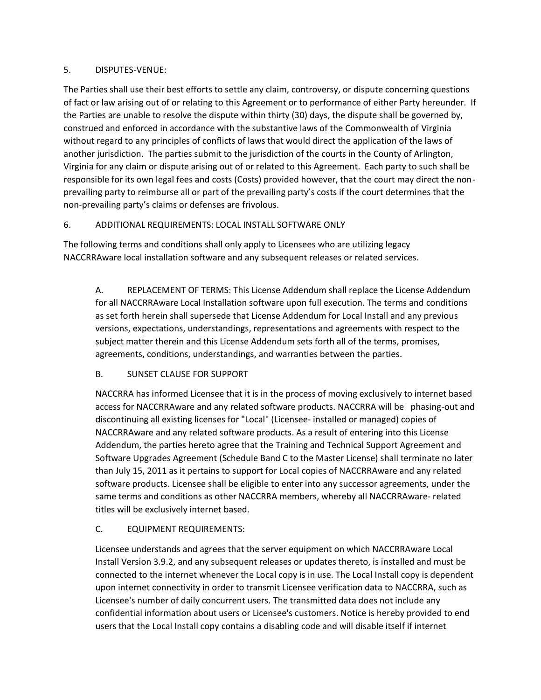#### 5. DISPUTES-VENUE:

The Parties shall use their best efforts to settle any claim, controversy, or dispute concerning questions of fact or law arising out of or relating to this Agreement or to performance of either Party hereunder. If the Parties are unable to resolve the dispute within thirty (30) days, the dispute shall be governed by, construed and enforced in accordance with the substantive laws of the Commonwealth of Virginia without regard to any principles of conflicts of laws that would direct the application of the laws of another jurisdiction. The parties submit to the jurisdiction of the courts in the County of Arlington, Virginia for any claim or dispute arising out of or related to this Agreement. Each party to such shall be responsible for its own legal fees and costs (Costs) provided however, that the court may direct the nonprevailing party to reimburse all or part of the prevailing party's costs if the court determines that the non-prevailing party's claims or defenses are frivolous.

# 6. ADDITIONAL REQUIREMENTS: LOCAL INSTALL SOFTWARE ONLY

The following terms and conditions shall only apply to Licensees who are utilizing legacy NACCRRAware local installation software and any subsequent releases or related services.

A. REPLACEMENT OF TERMS: This License Addendum shall replace the License Addendum for all NACCRRAware Local Installation software upon full execution. The terms and conditions as set forth herein shall supersede that License Addendum for Local Install and any previous versions, expectations, understandings, representations and agreements with respect to the subject matter therein and this License Addendum sets forth all of the terms, promises, agreements, conditions, understandings, and warranties between the parties.

# B. SUNSET CLAUSE FOR SUPPORT

NACCRRA has informed Licensee that it is in the process of moving exclusively to internet based access for NACCRRAware and any related software products. NACCRRA will be phasing-out and discontinuing all existing licenses for "Local" (Licensee- installed or managed) copies of NACCRRAware and any related software products. As a result of entering into this License Addendum, the parties hereto agree that the Training and Technical Support Agreement and Software Upgrades Agreement (Schedule Band C to the Master License) shall terminate no later than July 15, 2011 as it pertains to support for Local copies of NACCRRAware and any related software products. Licensee shall be eligible to enter into any successor agreements, under the same terms and conditions as other NACCRRA members, whereby all NACCRRAware- related titles will be exclusively internet based.

# C. EQUIPMENT REQUIREMENTS:

Licensee understands and agrees that the server equipment on which NACCRRAware Local Install Version 3.9.2, and any subsequent releases or updates thereto, is installed and must be connected to the internet whenever the Local copy is in use. The Local Install copy is dependent upon internet connectivity in order to transmit Licensee verification data to NACCRRA, such as Licensee's number of daily concurrent users. The transmitted data does not include any confidential information about users or Licensee's customers. Notice is hereby provided to end users that the Local Install copy contains a disabling code and will disable itself if internet